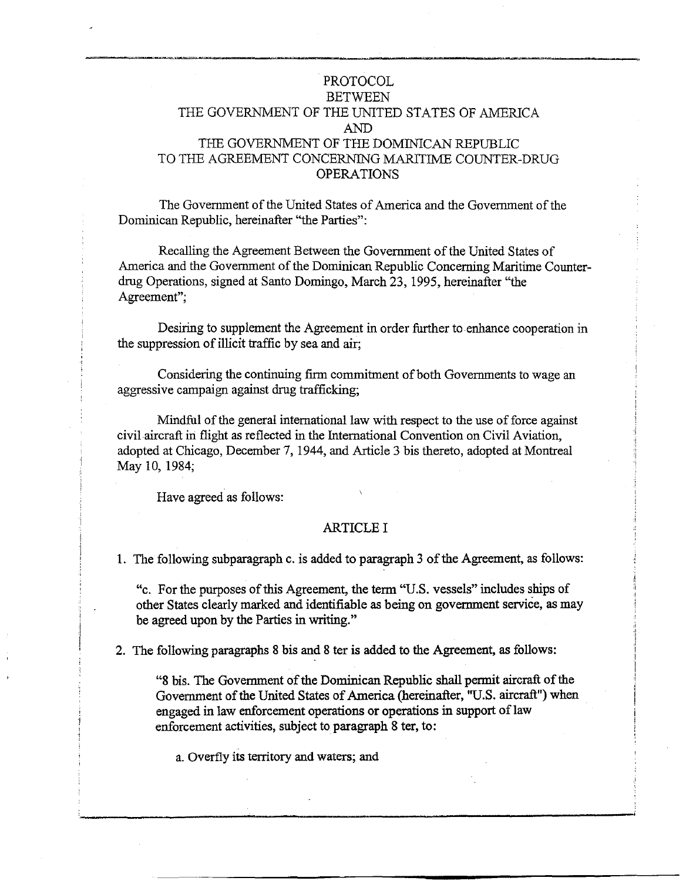# PROTOCOL **BETWEEN** THE GOVERNMENT OF THE UNITED STATES OF AMERICA AND THE GOVERNMENT OF THE DOMINICAN REPUBLIC TO THE AGREEMENT CONCERNING MARITIME COUNTER-DRUG OPERATIONS

The Government of the United States of America and the Government of the Dominican Republic, hereinafter "the Parties":

Recalling the Agreement Between the Government of the United States of America and the Government of the Dominican Republic Concerning Maritime Counterdrug Operations, signed at Santo Domingo, March 23, 1995, hereinafter "the Agreement";

Desiring to supplement the Agreement in arder further to enhance cooperation in the suppression of illicit traffic by sea and air;

Considering the continuing firm commitment of both Governments to wage an aggressive campaign against drug trafficking;

Mindful of the general international law with respect to the use of force against civil aircraft in flight as reflected in the Intemational Convention on Civil Aviation, adopted at Chicago, December 7, 1944, and Article 3 bis thereto, adopted at Montreal May 10, 1984;

Have agreed as follows:

### ARTICLEI

l. The following subparagraph c. is added to paragraph 3 ofthe Agreement, as follows:

"c. For the purposes of this Agreement, the term "U.S. vessels" includes ships of other States clearly marked and identifiable as being on govermnent serviée, as may be agreed upon by the Parties in writing."

2. The following paragraphs 8 bis and 8 ter is added to the Agreement, as follows:

"8 bis. The Govermnent of the Dominican Republic shall permit aircraft of the Government of the United States of America (hereinafter, "U.S. aircraft") when engaged in law enforcement operations or operations in support of law enforcement activities, subject to paragraph 8 ter, to:

a. Overfly its territory and waters; and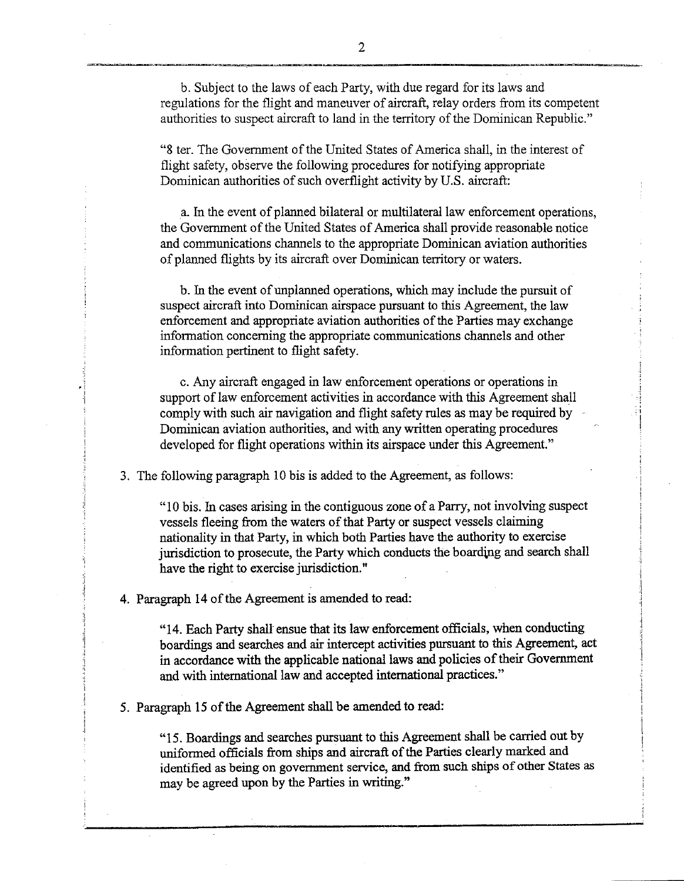b. Subject to the laws of each Party, with due regard for its laws and regulations for the flight and maneuver of aircraft, relay orders from its competent authorities to suspect aircraft to land in the territory of the Dominican Republic."

"8 ter. The Government of the United States of America shall, in the interest of flight safety, observe the following procedures for notifying appropriate Dominican authorities of such overflight activity by U.S. aircraft:

a. In the event of planned bilateral or multilateral law enforcement operations, the Government of the United States of America shall provide reasonable notice and communications channels to the appropriate Dominican aviation authorities of planned flights by its aircraft over Dominican territory or waters.

b. In the event of unplanned operations, which may include the pursuit of suspect aircraft into Dominican airspace pursuant to this Agreement, the law enforcement and appropriate aviation authorities of the Parties may exchange information conceming the appropriate communications channels and other information pertinent to flight safety.

c. Any aircraft engaged in law enforcement operations or operations in support of law enforcement activities in accordance with this Agreement shall comply with such air navigation and flight safety rules as may be required by Dominican aviation authorities, and with any written operating procedures developed for flight operations within its airspace under this Agreement."

3. The following paragraph 10 bis is added to the Agreement, as follows:

"1 O bis. In cases arising in the contiguous zone of a Parry, not involving suspect vessels fleeing from the waters of that Party or suspect vessels claiming nationality in that Party, in which both Parties have the authority to exercise jurisdiction to prosecute, the Party which conducts the boarding and search shall have the right to exercise jurisdiction."

4. Paragraph 14 of the Agreement is amended to read:

"14. Each Party shall ensue that its law enforcement officials, when conducting boardings and searches and air intercept activities pursuant to this Agreement, act in accordance with the applicable national laws and policies of their Government and with international law and accepted international practices."

5. Paragraph 15 of the Agreement shall be amended to read:

"15. Boardings and searches pursuant to this Agreement shall be carried out by uniformed officials from ships and aircraft of the Parties clearly marked and identified as being on govemment service, and from such ships of other States as may be agreed upon by the Parties in writing."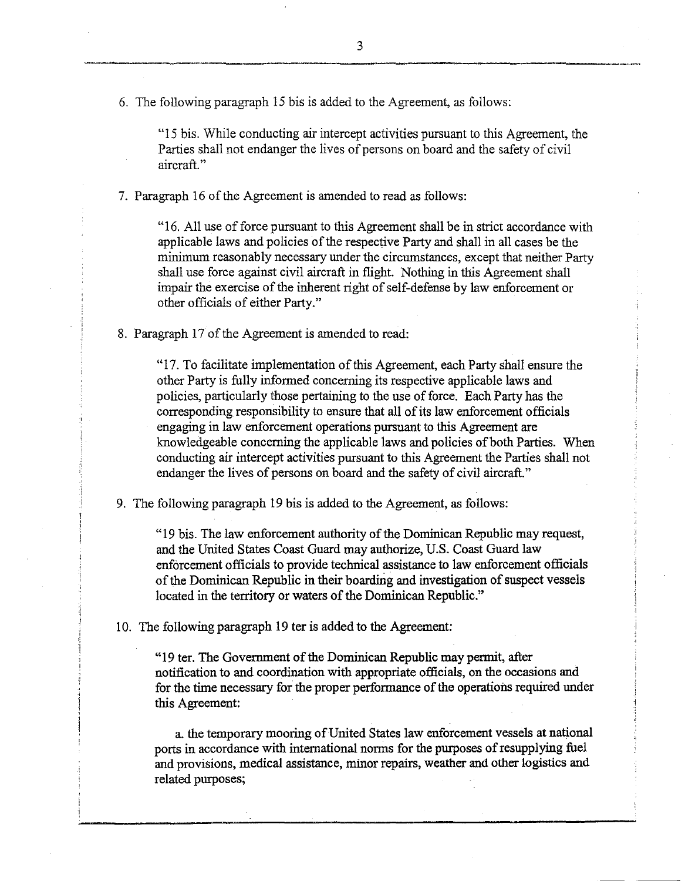"15 bis. While conducting air intercept activities pursuant to this Agreement, the Parties shall not endanger the lives of persons on board and the safety of civil aircraft."

7. Paragraph 16 of the Agreement is amended to read as follows:

"16. All use of force pursuant to this Agreement shall be in strict accordance with applicable laws and policies of the respective Party and shall in all cases be the mínimum reasonably necessary under the circumstances, except that neither Party shall use force against civil aircraft in flight. Nothing in this Agreement shall impair the exercise of the inherent right of self-defense by law enforcement or other officials of either Party."

8. Paragraph 17 of the Agreement is amended to read:

"17. To facilitate implementation of this Agreement, each Party shall ensure the other Party is fully informed concerning its respective applicable laws and policies, particularly those pertaining to the use of force. Each Party has the corresponding responsibility to ensure that all of its law enforcement officials engaging in law enforcement operations pursuant to this Agreement are knowledgeable concerning the applicable laws and policies of both Parties. When conducting air intercept activities pursuant to this Agreement the Parties shall not endanger the lives of persons on board and the safety of civil aircraft."

9. The following paragraph 19 bis is added to the Agreement, as follows:

"19 bis. The law enforcement authority of the Dominican Republic may request, and the United States Coast Guard may authorize, U.S. Coast Guard law enfórcement officials to provide technical assistance to law enforcement officials of the Dominican Republic in their boarding and investigation of suspect vessels located in the territory or waters of the Dominican Republic."

10. The following paragraph 19 ter is added to the Agreement:

"19 ter. The Government of the Dominican Republic may permit, after notification to and coordination with appropriate officials, on the occasions and for the time necessary for the proper performance of the operations required under this Agreement:

a. the temporary mooring of United States law enforcement vessels at national ports in accordance with international norms for the purposes of resupplying fuel and provisions, medical assistance, minor repairs, weather and other logistics and related purposes;

-----------------~-----------------------------------------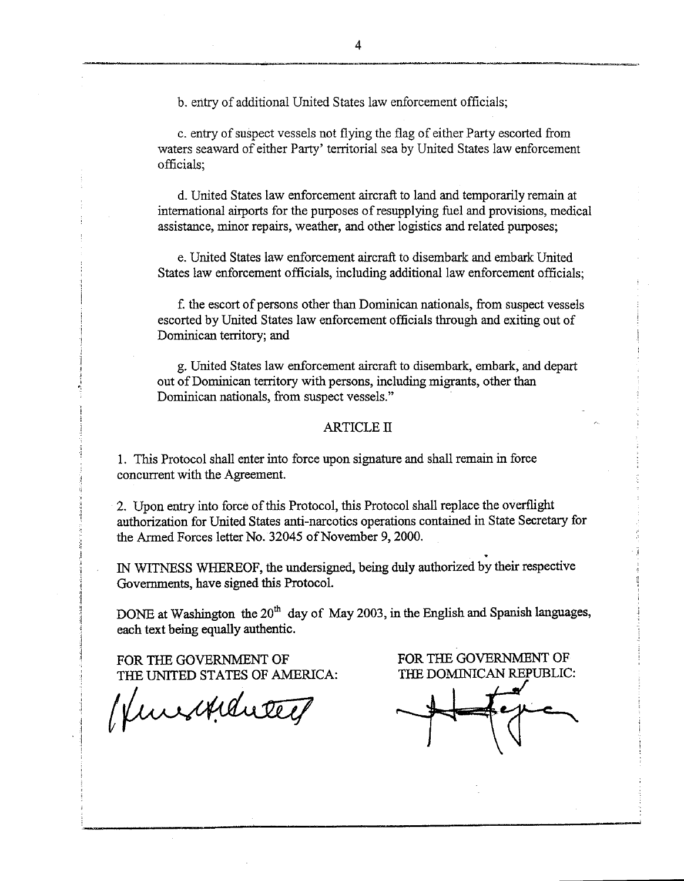b. entry of additional United States law enforcement officials;

c. entry of suspect vessels not flying the flag of either Party escorted from waters seaward of either Party' territorial sea by United States law enforcement officials;

d. United States law enforcement aircraft to land and temporarily remain at intemational airports for the purposes of resupplying fuel and provisions, medical assistance, minor repairs, weather, and other logistics and related purposes;

e. United States law enforcement aircraft to disembark and embark United States law enforcement officials, including additional law enforcement officials:

f. the escort of persons other than Dominican nationals, from suspect vessels escorted by United States law enforcement officials through and exiting out of Dominican territory; and

g. United States law enforcement aircraft to disembark, embark, and depart out of Dominican territory with persons, including migrants, other than Dominican nationals, from suspect vessels."

#### **ARTICLE II**

l. This Protocol shall enter into force upon signature and shall remain in force concurrent with the Agreement.

2. Upon entry into force ofthis Protocol, this Protocol shall replace the overflight authorization for United States anti-narcotics operations contained in State Secretary for the Armed Forces letter No. 32045 of November 9, 2000.

. IN WITNESS WHEREOF, the undersigned, being duly authorized by their respective Govemments, have signed this Protocol.

DONE at Washington the  $20<sup>th</sup>$  day of May 2003, in the English and Spanish languages, each text being equally authentic.

FOR THE GOVERNMENT OF THE UNITED STATES OF AMERICA:

*t* 

FOR THE GOVERNMENT OF THE DOMINICAN REPUBLIC:

 $\frac{1}{\sqrt{2}}$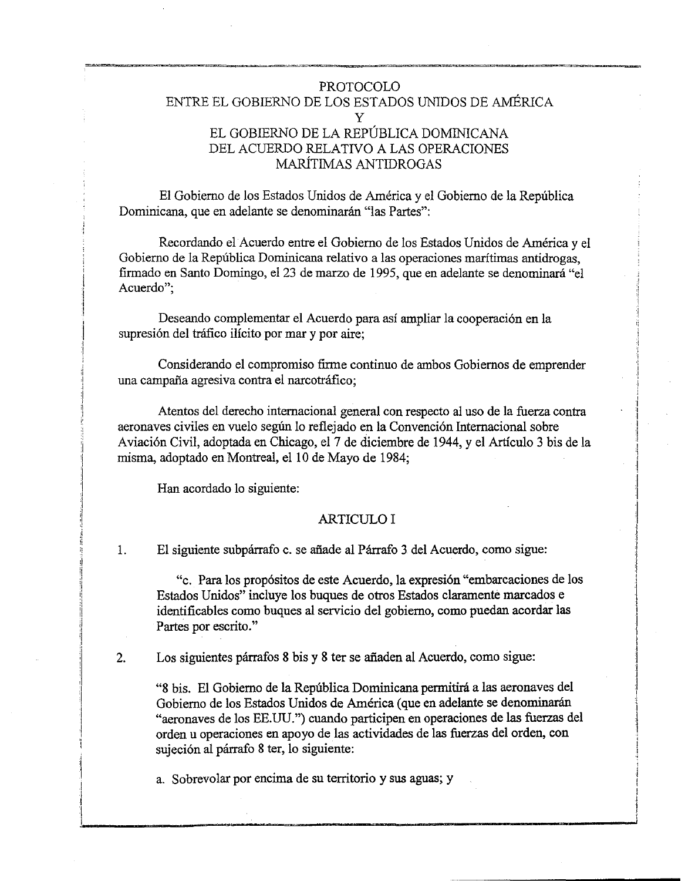# PROTOCOLO ENTRE EL GOBIERNO DE LOS ESTADOS UNIDOS DE AMÉRICA y EL GOBIERNO DE LA REPÚBLICA DOMINICANA DEL ACUERDO RELATIVO A LAS OPERACIONES MARÍTIMAS ANTIDROGAS

El Gobierno de los Estados Unidos de América y el Gobierno de la República Dominicana, que en adelante se denominarán "las Partes":

Recordando el Acuerdo entre el Gobierno de los Estados Unidos de América y el Gobierno de la República Dominicana relativo a las operaciones maritimas antidrogas, firmado en Santo Domingo, el23 de marzo de 1995, que en adelante se denominará "el Acuerdo";

Deseando complementar el Acuerdo para así ampliar la cooperación en la supresión del tráfico ilícito por mar y por aire;

Considerando el compromiso firme continuo de ambos Gobiernos de emprender una campaña agresiva contra el narcotráfico;

Atentos del derecho internacional general con respecto al uso de la fuerza contra aeronaves civiles en vuelo según lo reflejado en la Convención Internacional sobre Aviación Civil, adoptada en Chicago, el 7 de diciembre de 1944, y el Artículo 3 bis de la misma, adoptado en Montreal, el 10 de Mayo de 1984;

1 ·\  $\mathbf{I}$ 

1 :¡

1

।<br>अन्निमान्सम्<br>|-

1

Han acordado lo siguiente:

## ARTICULO I

l. El siguiente subpárrafo c. se añade al Párrafo 3 del Acuerdo, como sigue:

"c. Para los propósitos de este Acuerdo, la expresión "embarcaciones de los Estados Unidos" incluye los buques de otros Estados claramente marcados e identificables como buques al servicio del gobierno, como puedan acordar las Partes por escrito."

2. Los siguientes párrafos 8 bis y 8 ter se añaden al Acuerdo, como sigue:

"8 bis. El Gobierno de la República Dominicana permitirá a las aeronaves del Gobierno de los Estados Unidos de América (que en adelante se denominarán "aeronaves de los EE.UU.") cuando participen en operaciones de las fuerzas del orden u operaciones en apoyo de las actividades de las fuerzas del orden, con sujeción al párrafo 8 ter, lo siguiente:

a. Sobrevolar por encima de su territorio y sus aguas; y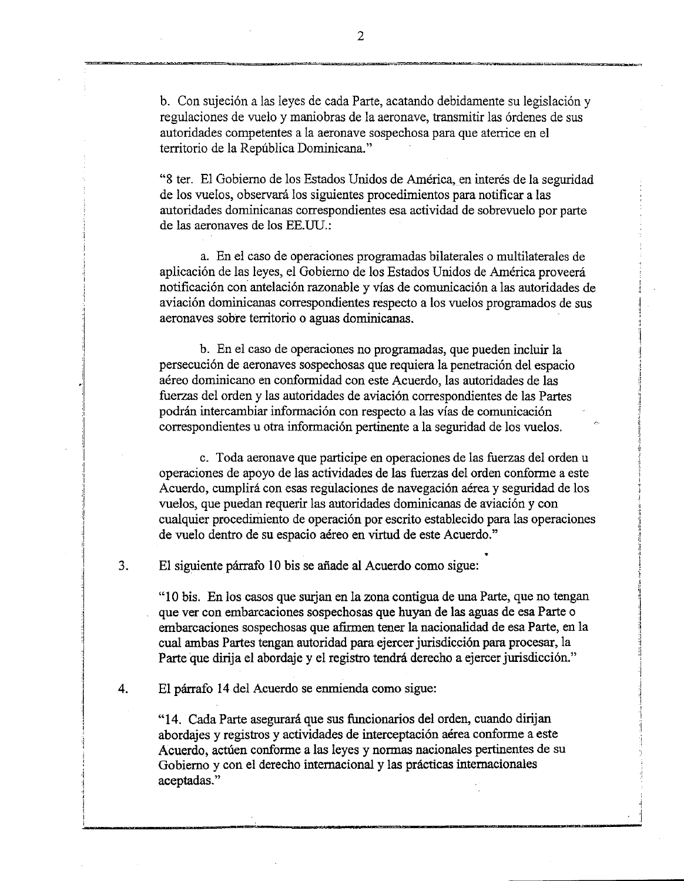b. Con sujeción a las leyes de cada Parte, acatando debidamente su legislación y regulaciones de vuelo y maniobras de la aeronave, transmitir las órdenes de sus autoridades competentes a la aeronave sospechosa para que aterrice en el territorio de la República Dominicana."

"8 ter. El Gobierno de los Estados Unidos de América, en interés de la seguridad de los vuelos, observará los siguientes procedimientos para notificar a las autoridades dominicanas correspondientes esa actividad de sobrevuelo por parte de las aeronaves de los EE.UU.:

a. En el caso de operaciones programadas bilaterales o multilaterales de aplicación de las leyes, el Gobierno de los Estados Unidos de América proveerá notificación con antelación razonable y vías de comunicación a las autoridades de aviación dominicanas correspondientes respecto a los vuelos programados de sus aeronaves sobre territorio o aguas dominicanas.

b. En el caso de operaciones no programadas, que pueden incluir la persecución de aeronaves sospechosas que requiera la penetración del espacio aéreo dominicano en conformidad con este Acuerdo, las autoridades de las fuerzas del orden y las autoridades de aviación correspondientes de las Partes podrán intercambiar información con respecto a las vías de comunicación correspondientes u otra información pertinente a la seguridad de los vuelos.

c. Toda aeronave que participe en operaciones de las fuerzas del orden u operaciones de apoyo de las actividades de las fuerzas del orden conforme a este Acuerdo, cumplirá con esas regulaciones de navegación aérea y seguridad de los vuelos, que puedan requerir las autoridades dominicanas de aviación y con cualquier procedimiento de operación por escrito establecido para las operaciones de vuelo dentro de su espacio aéreo en virtud de este Acuerdo."

3. El siguiente párrafo 10 bis se añade al Acuerdo como sigue:

"1 O bis. En los casos que surjan en la zona contigua de una Parte, que no tengan que ver con embarcaciones sospechosas que huyan de las aguas de esa Parte o embarcaciones sospechosas que afirmen tener la nacionalidad de esa Parte, en la cual ambas Partes tengan autoridad para ejercer jurisdicción para procesar, la Parte que dirija el abordaje y el registro tendrá derecho a ejercer jurisdicción."

4. El párrafo 14 del Acuerdo se enmienda como sigue:

"14. Cada Parte asegurará que sus funcionarios del orden, cuando dirijan abordajes y registros y actividades de interceptación aérea conforme a este Acuerdo, actúen conforme a las leyes y normas nacionales pertinentes de su Gobierno y con el derecho internacional y las prácticas internacionales aceptadas."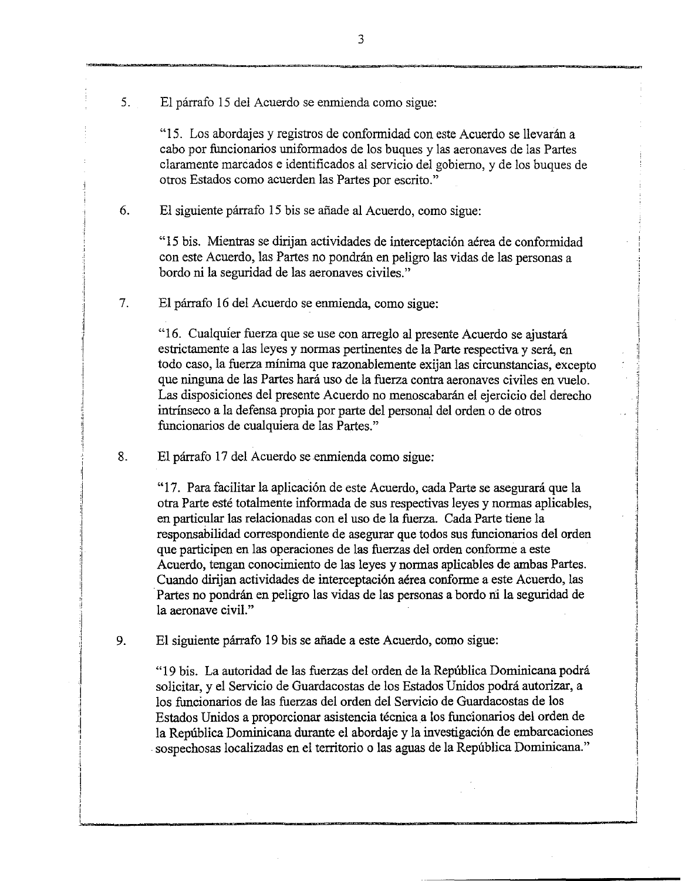5. El párrafo 15 del Acuerdo se enmienda como sigue:

"15. Los abordajes y registros de conformidad con este Acuerdo se llevarán a cabo por funcionarios uniformados de los buques y las aeronaves de las Partes claramente marcados e identificados al servicio del gobierno, y de los buques de otros Estados como acuerden las Partes por escrito."

6. El siguiente párrafo 15 bis se añade al Acuerdo, como sigue:

"15 bis. Mientras se dirijan actividades de interceptación aérea de conformidad con este Acuerdo, las Partes no pondrán en peligro las vidas de las personas a bordo ni la seguridad de las aeronaves civiles."

7. El párrafo 16 del Acuerdo se enmienda, como sigue:

> "16. Cualquier fuerza que se use con arreglo al presente Acuerdo se ajustará estrictamente a las leyes y normas pertinentes de la Parte respectiva y será, en todo caso, la fuerza mínima que razonablemente exijan las circunstancias, excepto que ninguna de las Partes hará uso de la fuerza contra aeronaves civiles en vuelo. Las disposiciones del presente Acuerdo no menoscabarán el ejercicio del derecho intrínseco a la defensa propia por parte del personal del orden o de otros funcionarios de cualquiera de las Partes."

8. El párrafo 17 del Acuerdo se enmienda como sigue:

> "17. Para facilitar la aplicación de este Acuerdo, cada Parte se asegurará que la otra Parte esté totalmente informada de sus respectivas leyes y normas aplicables, en particular las relacionadas con el uso de la fuerza. Cada Parte tiene la responsabilidad correspondiente de asegurar que todos sus funcionarios del orden que participen en las operaciones de las fuerzas del orden conforme a este Acuerdo, tengan conocimiento de las leyes y normas aplicables de ambas Partes. Cuando dirijan actividades de interceptación aérea conforme a este Acuerdo, las Partes no pondrán en peligro las vidas de las personas a bordo ni la seguridad de la aeronave civil."

El siguiente párrafo 19 bis se añade a este Acuerdo, como sigue: 9.

> "19 bis. La autoridad de las fuerzas del orden de la República Dominicana podrá solicitar, y el Servicio de Guardacostas de los Estados Unidos podrá autorizar, a los funcionarios de las fuerzas del orden del Servicio de Guardacostas de los Estados Unidos a proporcionar asistencia técnica a los funcionarios del orden de la República Dominicana durante el abordaje y la investigación de embarcaciones . sospechosas localizadas en el territorio o las aguas de la República Dominicana."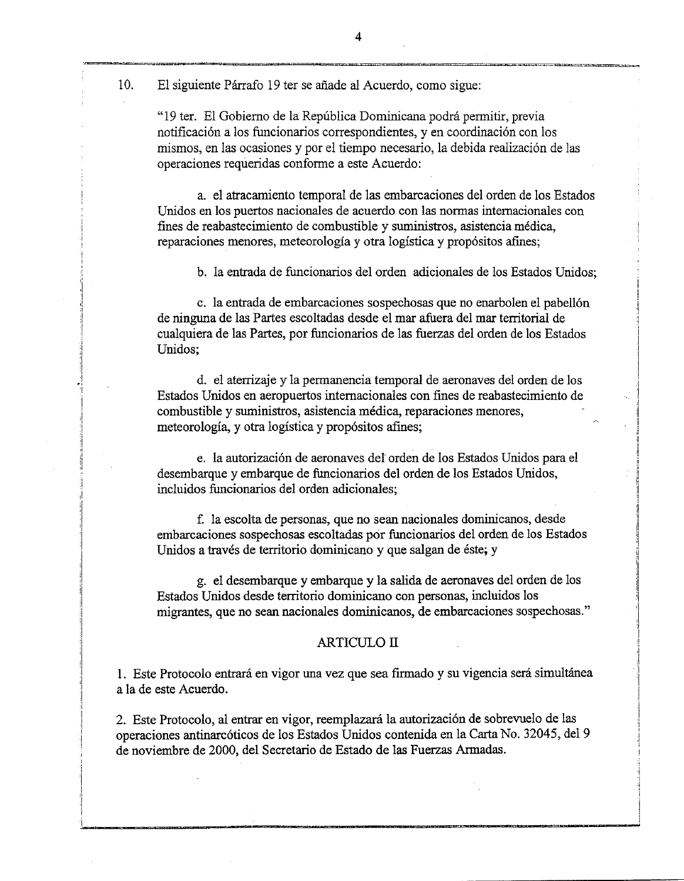10. El siguiente Párrafo 19 ter se añade al Acuerdo, como sigue:

"19 ter. El Gobierno de la República Dominicana podrá permitir, previa notificación a los funcionarios correspondientes, y en coordinación con los mismos, en las ocasiones y por el tiempo necesario, la debida realización de las operaciones requeridas conforme a este Acuerdo:

a. el atracamiento temporal de las embarcaciones del orden de los Estados Unidos en los puertos nacionales de acuerdo con las normas internacionales con fines de reabastecimiento de combustible y suministros, asistencia médica, reparaciones menores, meteorología y otra logística y propósitos afines;

b. la entrada de funcionarios del orden adicionales de los Estados Unidos;

c. la entrada de embarcaciones sospechosas que no enarbolen el pabellón de ninguna de las Partes escoltadas desde el mar afuera del mar territorial de cualquiera de las Partes, por funcionarios de las fuerzas del orden de los Estados Unidos;

d. el aterrizaje y la permanencia temporal de aeronaves del orden de los Estados Unidos en aeropuertos internacionales con fines de reabastecimiento de combustible y suministros, asistencia médica, reparaciones menores, meteorología, y otra logística y propósitos afines;

e. la autorización de aeronaves del orden de los Estados Unidos para el desembarque y embarque de funcionarios del orden de los Estados Unidos, incluidos funcionarios del orden adicionales;

f la escolta de personas, que no sean nacionales dominicanos, desde embarcaciones sospechosas escoltadas por funcionarios del orden de los Estados Unidos a través de territorio dominicano y que salgan de éste; y

g. el desembarque y embarque y la salida de aeronaves del orden de los Estados Unidos desde territorio dominicano con personas, incluidos los migrantes, que no sean nacionales dominicanos, de embarcaciones sospechosas."

### ARTICULO II

l. Este Protocolo entrará en vigor una vez que sea firmado y su vigencia será simultánea a la de este Acuerdo.

2. Este Protocolo, al entrar en vigor, reemplazará la autorización de sobrevuelo de las operaciones antinarcóticos de los Estados Unidos contenida en la Carta No. 32045, del 9 de noviembre de 2000, del Secretario de Estado de las Fuerzas Armadas.